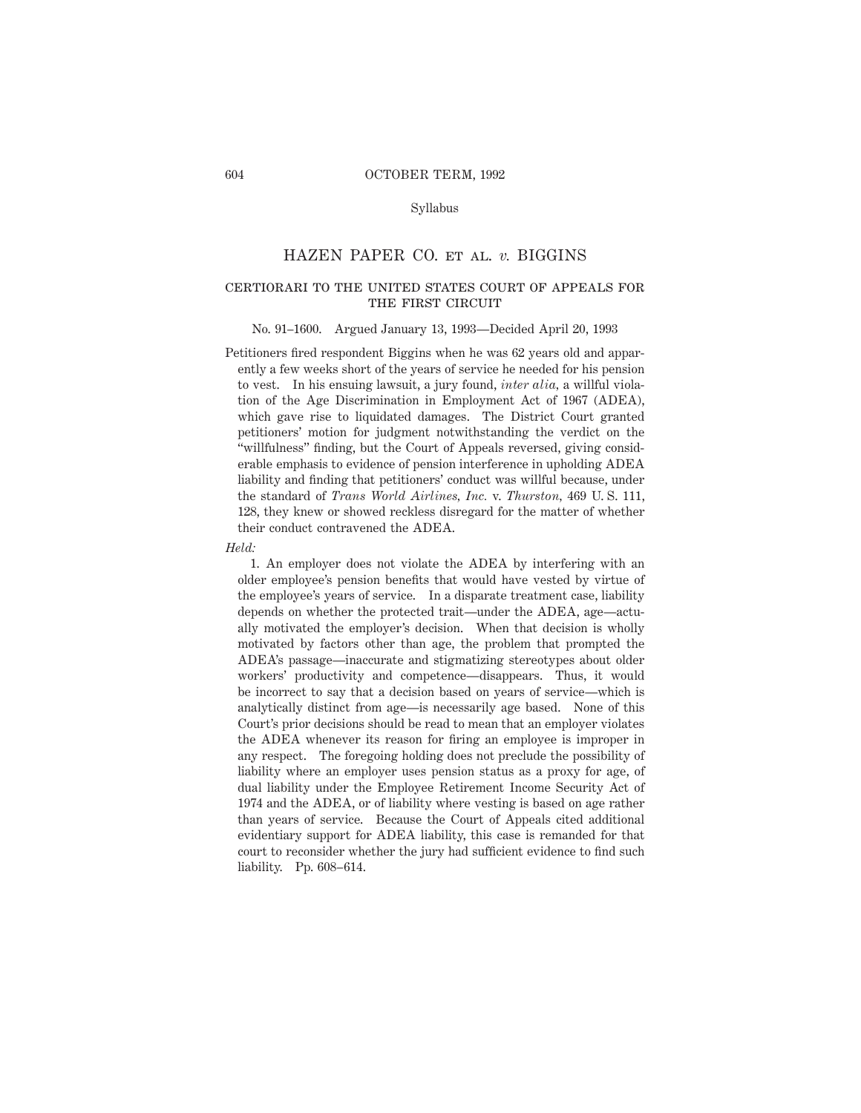#### Syllabus

### HAZEN PAPER CO. et al. *v.* BIGGINS

# certiorari to the united states court of appeals for THE FIRST CIRCUIT

#### No. 91–1600. Argued January 13, 1993—Decided April 20, 1993

Petitioners fired respondent Biggins when he was 62 years old and apparently a few weeks short of the years of service he needed for his pension to vest. In his ensuing lawsuit, a jury found, *inter alia,* a willful violation of the Age Discrimination in Employment Act of 1967 (ADEA), which gave rise to liquidated damages. The District Court granted petitioners' motion for judgment notwithstanding the verdict on the "willfulness" finding, but the Court of Appeals reversed, giving considerable emphasis to evidence of pension interference in upholding ADEA liability and finding that petitioners' conduct was willful because, under the standard of *Trans World Airlines, Inc.* v. *Thurston,* 469 U. S. 111, 128, they knew or showed reckless disregard for the matter of whether their conduct contravened the ADEA.

*Held:*

1. An employer does not violate the ADEA by interfering with an older employee's pension benefits that would have vested by virtue of the employee's years of service. In a disparate treatment case, liability depends on whether the protected trait—under the ADEA, age—actually motivated the employer's decision. When that decision is wholly motivated by factors other than age, the problem that prompted the ADEA's passage—inaccurate and stigmatizing stereotypes about older workers' productivity and competence—disappears. Thus, it would be incorrect to say that a decision based on years of service—which is analytically distinct from age—is necessarily age based. None of this Court's prior decisions should be read to mean that an employer violates the ADEA whenever its reason for firing an employee is improper in any respect. The foregoing holding does not preclude the possibility of liability where an employer uses pension status as a proxy for age, of dual liability under the Employee Retirement Income Security Act of 1974 and the ADEA, or of liability where vesting is based on age rather than years of service. Because the Court of Appeals cited additional evidentiary support for ADEA liability, this case is remanded for that court to reconsider whether the jury had sufficient evidence to find such liability. Pp. 608–614.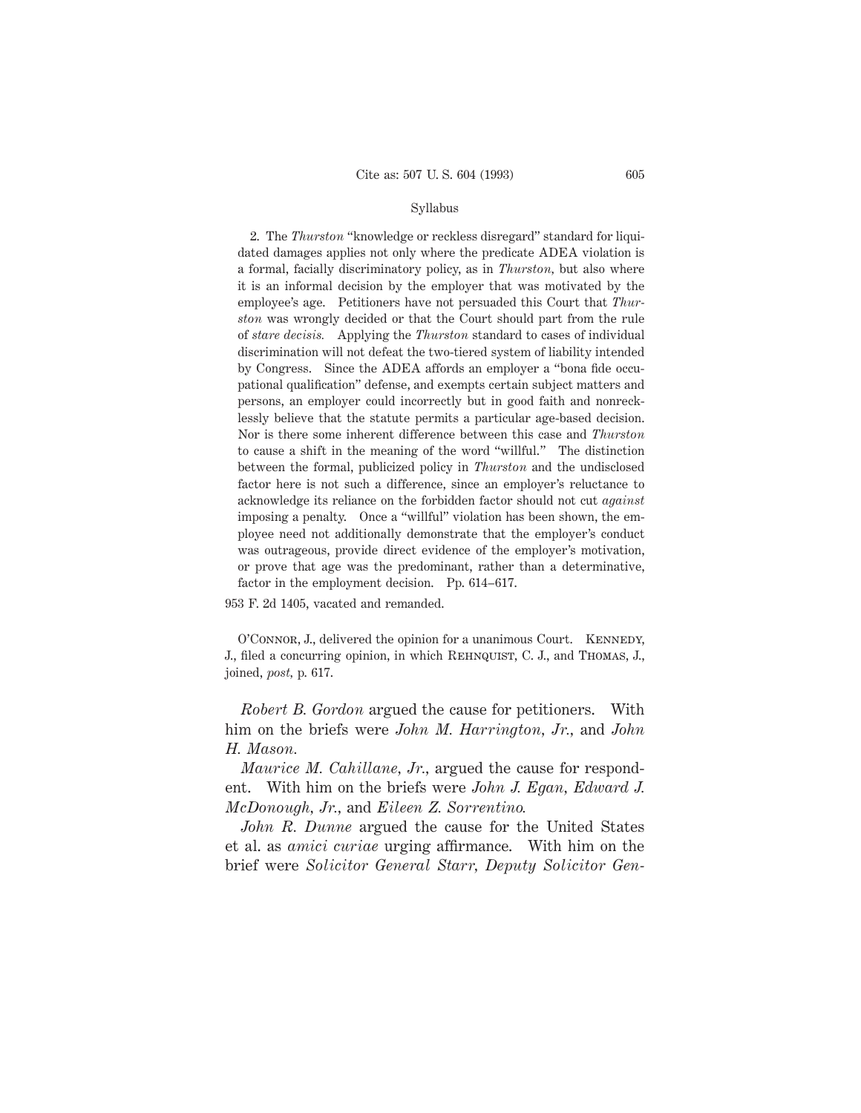#### Syllabus

2. The *Thurston* "knowledge or reckless disregard" standard for liquidated damages applies not only where the predicate ADEA violation is a formal, facially discriminatory policy, as in *Thurston,* but also where it is an informal decision by the employer that was motivated by the employee's age. Petitioners have not persuaded this Court that *Thurston* was wrongly decided or that the Court should part from the rule of *stare decisis.* Applying the *Thurston* standard to cases of individual discrimination will not defeat the two-tiered system of liability intended by Congress. Since the ADEA affords an employer a "bona fide occupational qualification" defense, and exempts certain subject matters and persons, an employer could incorrectly but in good faith and nonrecklessly believe that the statute permits a particular age-based decision. Nor is there some inherent difference between this case and *Thurston* to cause a shift in the meaning of the word "willful." The distinction between the formal, publicized policy in *Thurston* and the undisclosed factor here is not such a difference, since an employer's reluctance to acknowledge its reliance on the forbidden factor should not cut *against* imposing a penalty. Once a "willful" violation has been shown, the employee need not additionally demonstrate that the employer's conduct was outrageous, provide direct evidence of the employer's motivation, or prove that age was the predominant, rather than a determinative, factor in the employment decision. Pp. 614–617.

953 F. 2d 1405, vacated and remanded.

O'CONNOR, J., delivered the opinion for a unanimous Court. KENNEDY, J., filed a concurring opinion, in which Rehnquist, C. J., and Thomas, J., joined, *post,* p. 617.

*Robert B. Gordon* argued the cause for petitioners. With him on the briefs were *John M. Harrington, Jr.,* and *John H. Mason.*

*Maurice M. Cahillane, Jr.,* argued the cause for respondent. With him on the briefs were *John J. Egan, Edward J. McDonough, Jr.,* and *Eileen Z. Sorrentino.*

*John R. Dunne* argued the cause for the United States et al. as *amici curiae* urging affirmance. With him on the brief were *Solicitor General Starr, Deputy Solicitor Gen-*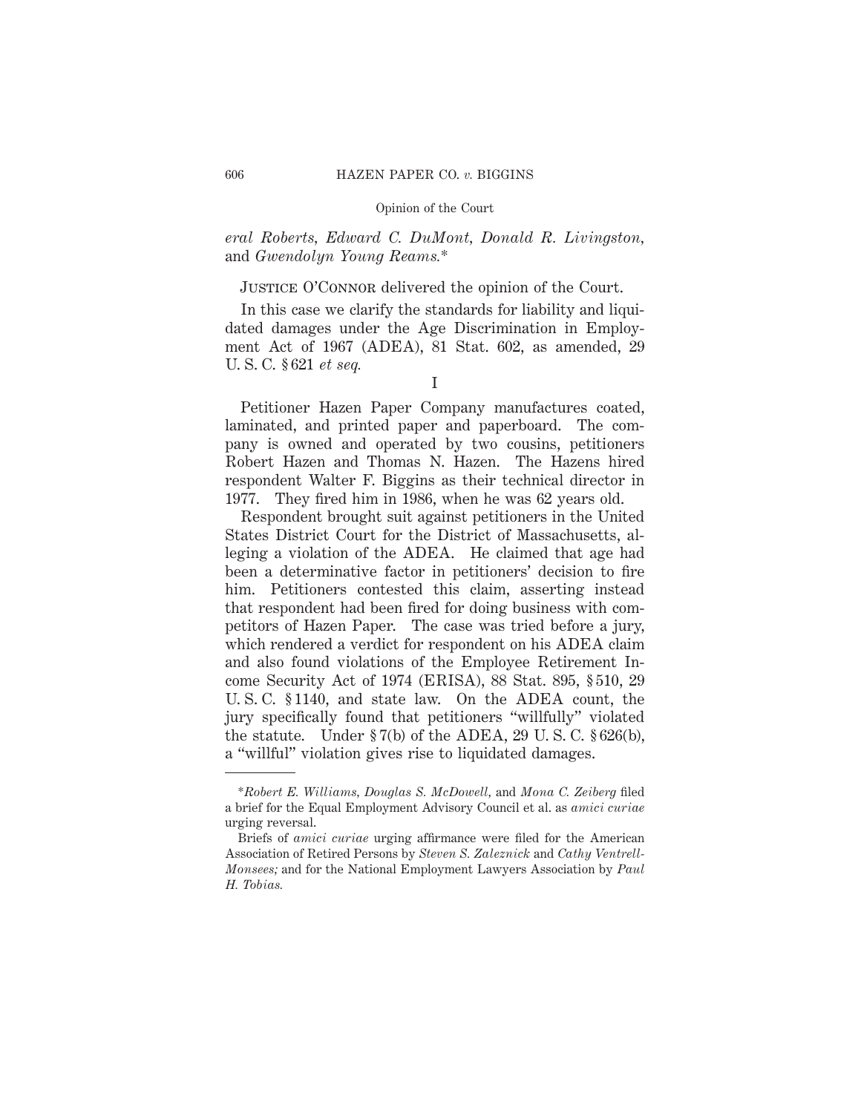*eral Roberts, Edward C. DuMont, Donald R. Livingston,* and *Gwendolyn Young Reams.*\*

# JUSTICE O'CONNOR delivered the opinion of the Court.

In this case we clarify the standards for liability and liquidated damages under the Age Discrimination in Employment Act of 1967 (ADEA), 81 Stat. 602, as amended, 29 U. S. C. § 621 *et seq.*

Petitioner Hazen Paper Company manufactures coated, laminated, and printed paper and paperboard. The company is owned and operated by two cousins, petitioners Robert Hazen and Thomas N. Hazen. The Hazens hired respondent Walter F. Biggins as their technical director in 1977. They fired him in 1986, when he was 62 years old.

Respondent brought suit against petitioners in the United States District Court for the District of Massachusetts, alleging a violation of the ADEA. He claimed that age had been a determinative factor in petitioners' decision to fire him. Petitioners contested this claim, asserting instead that respondent had been fired for doing business with competitors of Hazen Paper. The case was tried before a jury, which rendered a verdict for respondent on his ADEA claim and also found violations of the Employee Retirement Income Security Act of 1974 (ERISA), 88 Stat. 895, § 510, 29 U. S. C. § 1140, and state law. On the ADEA count, the jury specifically found that petitioners "willfully" violated the statute. Under  $\S 7(b)$  of the ADEA, 29 U.S.C.  $\S 626(b)$ , a "willful" violation gives rise to liquidated damages.

I

<sup>\*</sup>*Robert E. Williams, Douglas S. McDowell,* and *Mona C. Zeiberg* filed a brief for the Equal Employment Advisory Council et al. as *amici curiae* urging reversal.

Briefs of *amici curiae* urging affirmance were filed for the American Association of Retired Persons by *Steven S. Zaleznick* and *Cathy Ventrell-Monsees;* and for the National Employment Lawyers Association by *Paul H. Tobias.*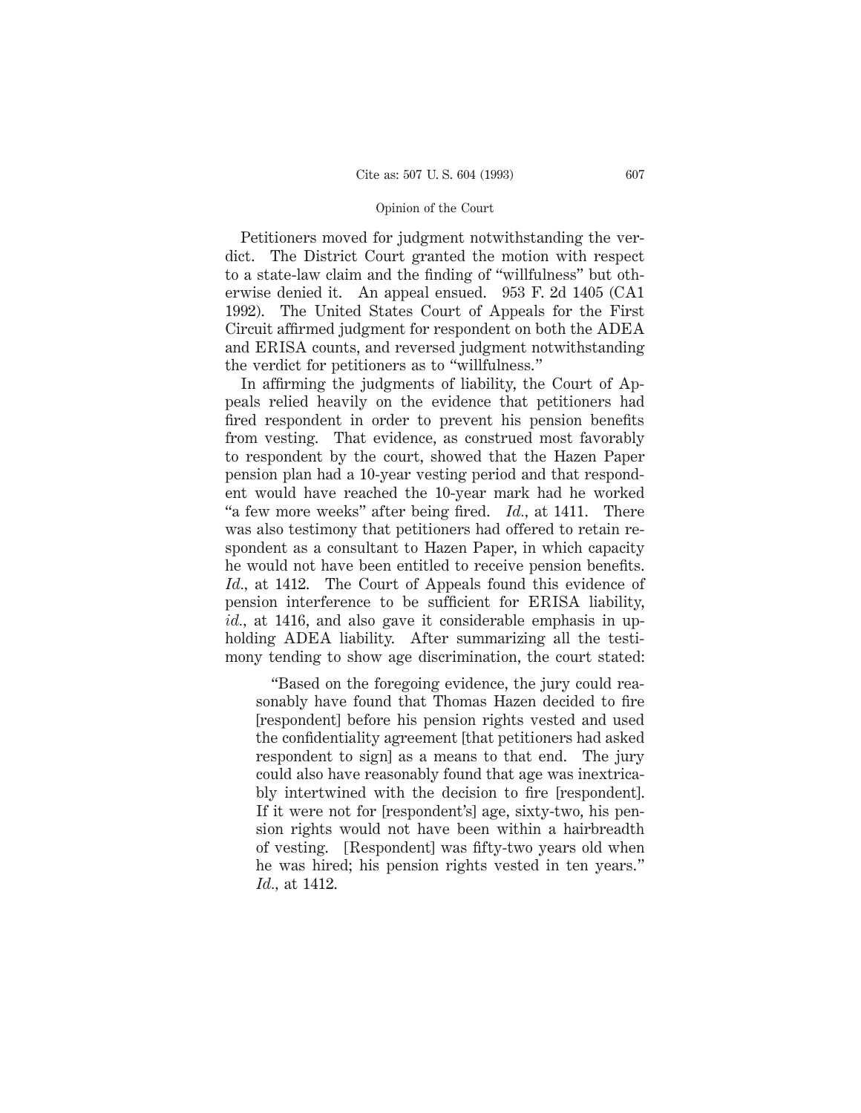Petitioners moved for judgment notwithstanding the verdict. The District Court granted the motion with respect to a state-law claim and the finding of "willfulness" but otherwise denied it. An appeal ensued. 953 F. 2d 1405 (CA1 1992). The United States Court of Appeals for the First Circuit affirmed judgment for respondent on both the ADEA and ERISA counts, and reversed judgment notwithstanding the verdict for petitioners as to "willfulness."

In affirming the judgments of liability, the Court of Appeals relied heavily on the evidence that petitioners had fired respondent in order to prevent his pension benefits from vesting. That evidence, as construed most favorably to respondent by the court, showed that the Hazen Paper pension plan had a 10-year vesting period and that respondent would have reached the 10-year mark had he worked "a few more weeks" after being fired. *Id.,* at 1411. There was also testimony that petitioners had offered to retain respondent as a consultant to Hazen Paper, in which capacity he would not have been entitled to receive pension benefits. *Id.,* at 1412. The Court of Appeals found this evidence of pension interference to be sufficient for ERISA liability, *id.*, at 1416, and also gave it considerable emphasis in upholding ADEA liability. After summarizing all the testimony tending to show age discrimination, the court stated:

"Based on the foregoing evidence, the jury could reasonably have found that Thomas Hazen decided to fire [respondent] before his pension rights vested and used the confidentiality agreement [that petitioners had asked respondent to sign] as a means to that end. The jury could also have reasonably found that age was inextricably intertwined with the decision to fire [respondent]. If it were not for [respondent's] age, sixty-two, his pension rights would not have been within a hairbreadth of vesting. [Respondent] was fifty-two years old when he was hired; his pension rights vested in ten years." *Id.,* at 1412.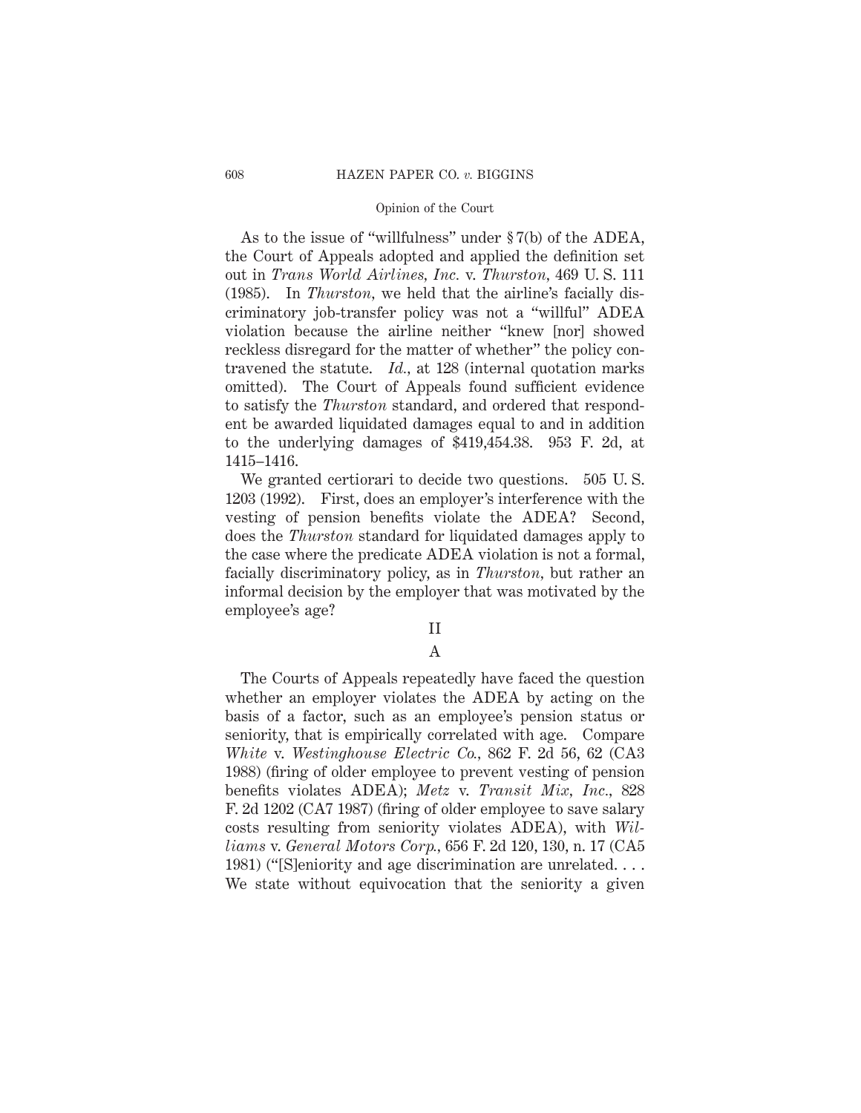As to the issue of "willfulness" under § 7(b) of the ADEA, the Court of Appeals adopted and applied the definition set out in *Trans World Airlines, Inc.* v. *Thurston,* 469 U. S. 111 (1985). In *Thurston,* we held that the airline's facially discriminatory job-transfer policy was not a "willful" ADEA violation because the airline neither "knew [nor] showed reckless disregard for the matter of whether" the policy contravened the statute. *Id.,* at 128 (internal quotation marks omitted). The Court of Appeals found sufficient evidence to satisfy the *Thurston* standard, and ordered that respondent be awarded liquidated damages equal to and in addition to the underlying damages of \$419,454.38. 953 F. 2d, at 1415–1416.

We granted certiorari to decide two questions. 505 U. S. 1203 (1992). First, does an employer's interference with the vesting of pension benefits violate the ADEA? Second, does the *Thurston* standard for liquidated damages apply to the case where the predicate ADEA violation is not a formal, facially discriminatory policy, as in *Thurston,* but rather an informal decision by the employer that was motivated by the employee's age?

### II

# A

The Courts of Appeals repeatedly have faced the question whether an employer violates the ADEA by acting on the basis of a factor, such as an employee's pension status or seniority, that is empirically correlated with age. Compare *White* v. *Westinghouse Electric Co.,* 862 F. 2d 56, 62 (CA3 1988) (firing of older employee to prevent vesting of pension benefits violates ADEA); *Metz* v. *Transit Mix, Inc.,* 828 F. 2d 1202 (CA7 1987) (firing of older employee to save salary costs resulting from seniority violates ADEA), with *Williams* v. *General Motors Corp.,* 656 F. 2d 120, 130, n. 17 (CA5 1981) ("[S]eniority and age discrimination are unrelated.... We state without equivocation that the seniority a given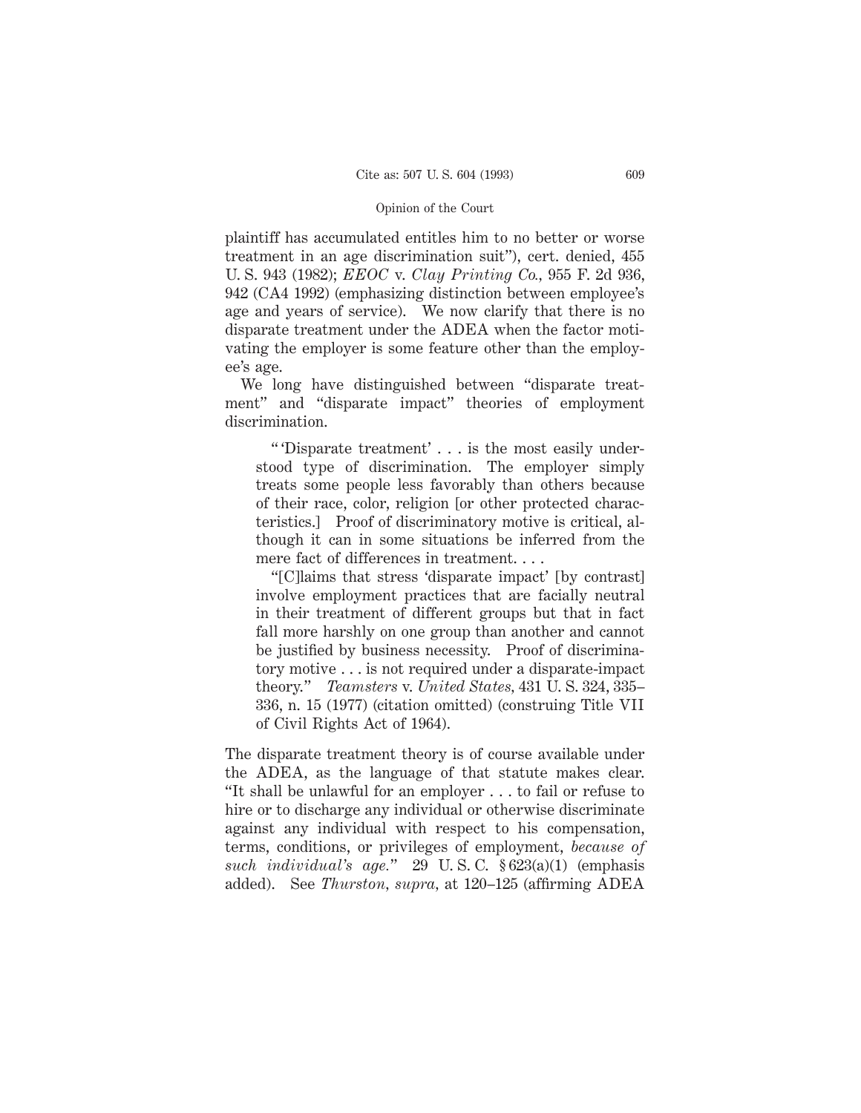plaintiff has accumulated entitles him to no better or worse treatment in an age discrimination suit"), cert. denied, 455 U. S. 943 (1982); *EEOC* v. *Clay Printing Co.,* 955 F. 2d 936, 942 (CA4 1992) (emphasizing distinction between employee's age and years of service). We now clarify that there is no disparate treatment under the ADEA when the factor motivating the employer is some feature other than the employee's age.

We long have distinguished between "disparate treatment" and "disparate impact" theories of employment discrimination.

" 'Disparate treatment' . . . is the most easily understood type of discrimination. The employer simply treats some people less favorably than others because of their race, color, religion [or other protected characteristics.] Proof of discriminatory motive is critical, although it can in some situations be inferred from the mere fact of differences in treatment....

"[C]laims that stress 'disparate impact' [by contrast] involve employment practices that are facially neutral in their treatment of different groups but that in fact fall more harshly on one group than another and cannot be justified by business necessity. Proof of discriminatory motive . . . is not required under a disparate-impact theory." *Teamsters* v. *United States,* 431 U. S. 324, 335– 336, n. 15 (1977) (citation omitted) (construing Title VII of Civil Rights Act of 1964).

The disparate treatment theory is of course available under the ADEA, as the language of that statute makes clear. "It shall be unlawful for an employer . . . to fail or refuse to hire or to discharge any individual or otherwise discriminate against any individual with respect to his compensation, terms, conditions, or privileges of employment, *because of such individual's age.*" 29 U. S. C. § 623(a)(1) (emphasis added). See *Thurston, supra,* at 120–125 (affirming ADEA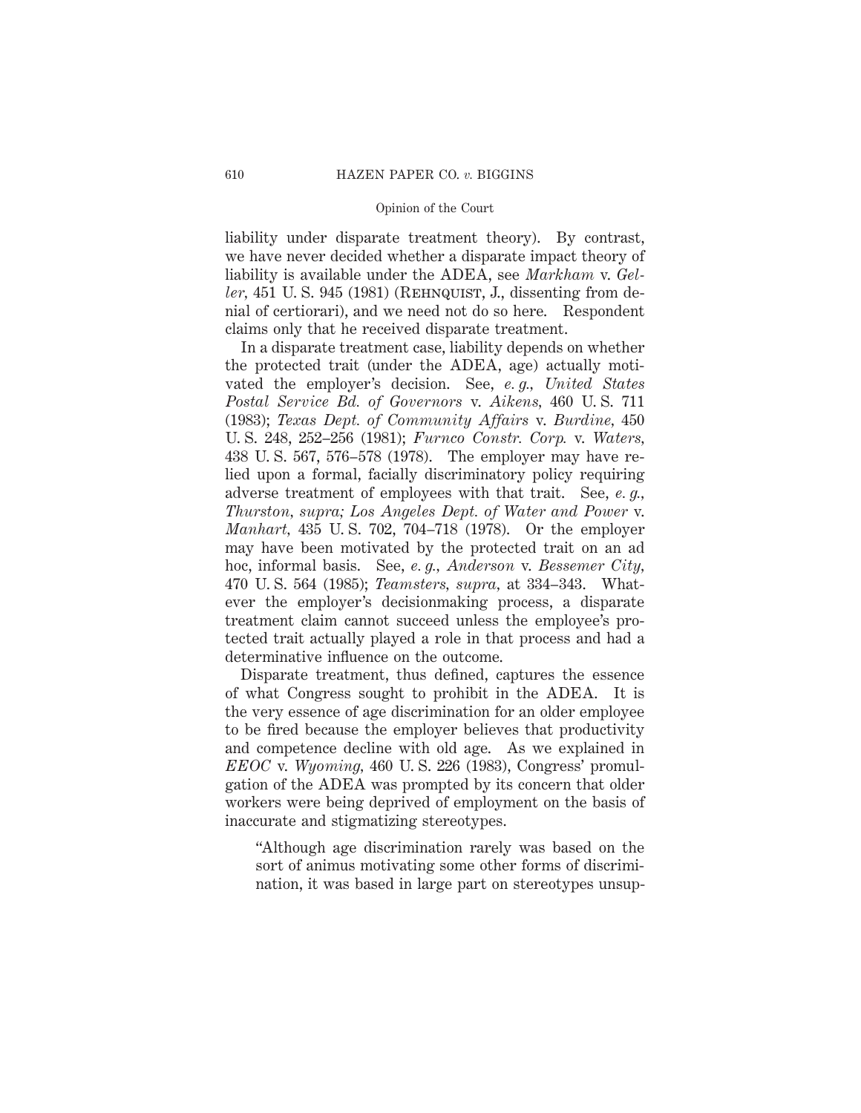liability under disparate treatment theory). By contrast, we have never decided whether a disparate impact theory of liability is available under the ADEA, see *Markham* v. *Geller*, 451 U.S. 945 (1981) (REHNQUIST, J., dissenting from denial of certiorari), and we need not do so here. Respondent claims only that he received disparate treatment.

In a disparate treatment case, liability depends on whether the protected trait (under the ADEA, age) actually motivated the employer's decision. See, *e. g., United States Postal Service Bd. of Governors* v. *Aikens,* 460 U. S. 711 (1983); *Texas Dept. of Community Affairs* v. *Burdine,* 450 U. S. 248, 252–256 (1981); *Furnco Constr. Corp.* v. *Waters,* 438 U. S. 567, 576–578 (1978). The employer may have relied upon a formal, facially discriminatory policy requiring adverse treatment of employees with that trait. See, *e. g., Thurston, supra; Los Angeles Dept. of Water and Power* v. *Manhart,* 435 U. S. 702, 704–718 (1978). Or the employer may have been motivated by the protected trait on an ad hoc, informal basis. See, *e. g., Anderson* v. *Bessemer City,* 470 U. S. 564 (1985); *Teamsters, supra,* at 334–343. Whatever the employer's decisionmaking process, a disparate treatment claim cannot succeed unless the employee's protected trait actually played a role in that process and had a determinative influence on the outcome.

Disparate treatment, thus defined, captures the essence of what Congress sought to prohibit in the ADEA. It is the very essence of age discrimination for an older employee to be fired because the employer believes that productivity and competence decline with old age. As we explained in *EEOC* v. *Wyoming,* 460 U. S. 226 (1983), Congress' promulgation of the ADEA was prompted by its concern that older workers were being deprived of employment on the basis of inaccurate and stigmatizing stereotypes.

"Although age discrimination rarely was based on the sort of animus motivating some other forms of discrimination, it was based in large part on stereotypes unsup-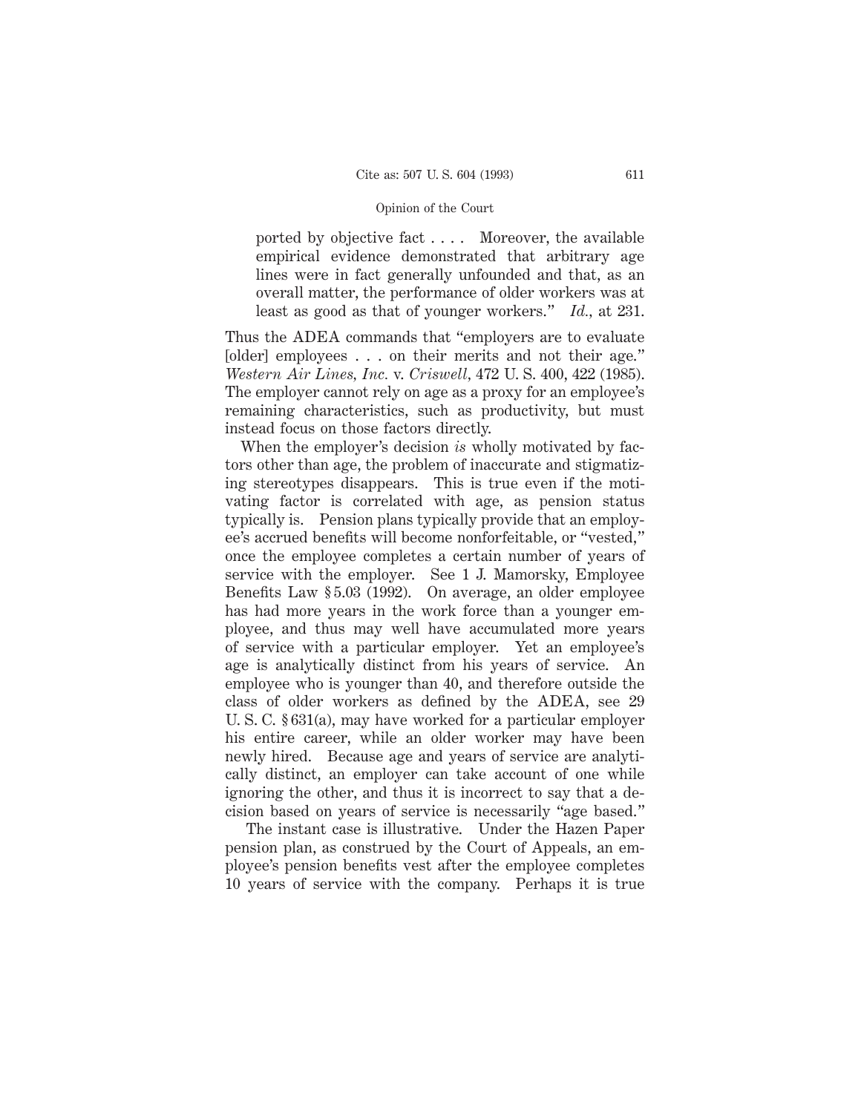ported by objective fact . . . . Moreover, the available empirical evidence demonstrated that arbitrary age lines were in fact generally unfounded and that, as an overall matter, the performance of older workers was at least as good as that of younger workers." *Id.,* at 231.

Thus the ADEA commands that "employers are to evaluate [older] employees . . . on their merits and not their age." *Western Air Lines, Inc.* v. *Criswell,* 472 U. S. 400, 422 (1985). The employer cannot rely on age as a proxy for an employee's remaining characteristics, such as productivity, but must instead focus on those factors directly.

When the employer's decision *is* wholly motivated by factors other than age, the problem of inaccurate and stigmatizing stereotypes disappears. This is true even if the motivating factor is correlated with age, as pension status typically is. Pension plans typically provide that an employee's accrued benefits will become nonforfeitable, or "vested," once the employee completes a certain number of years of service with the employer. See 1 J. Mamorsky, Employee Benefits Law § 5.03 (1992). On average, an older employee has had more years in the work force than a younger employee, and thus may well have accumulated more years of service with a particular employer. Yet an employee's age is analytically distinct from his years of service. An employee who is younger than 40, and therefore outside the class of older workers as defined by the ADEA, see 29 U. S. C. § 631(a), may have worked for a particular employer his entire career, while an older worker may have been newly hired. Because age and years of service are analytically distinct, an employer can take account of one while ignoring the other, and thus it is incorrect to say that a decision based on years of service is necessarily "age based."

The instant case is illustrative. Under the Hazen Paper pension plan, as construed by the Court of Appeals, an employee's pension benefits vest after the employee completes 10 years of service with the company. Perhaps it is true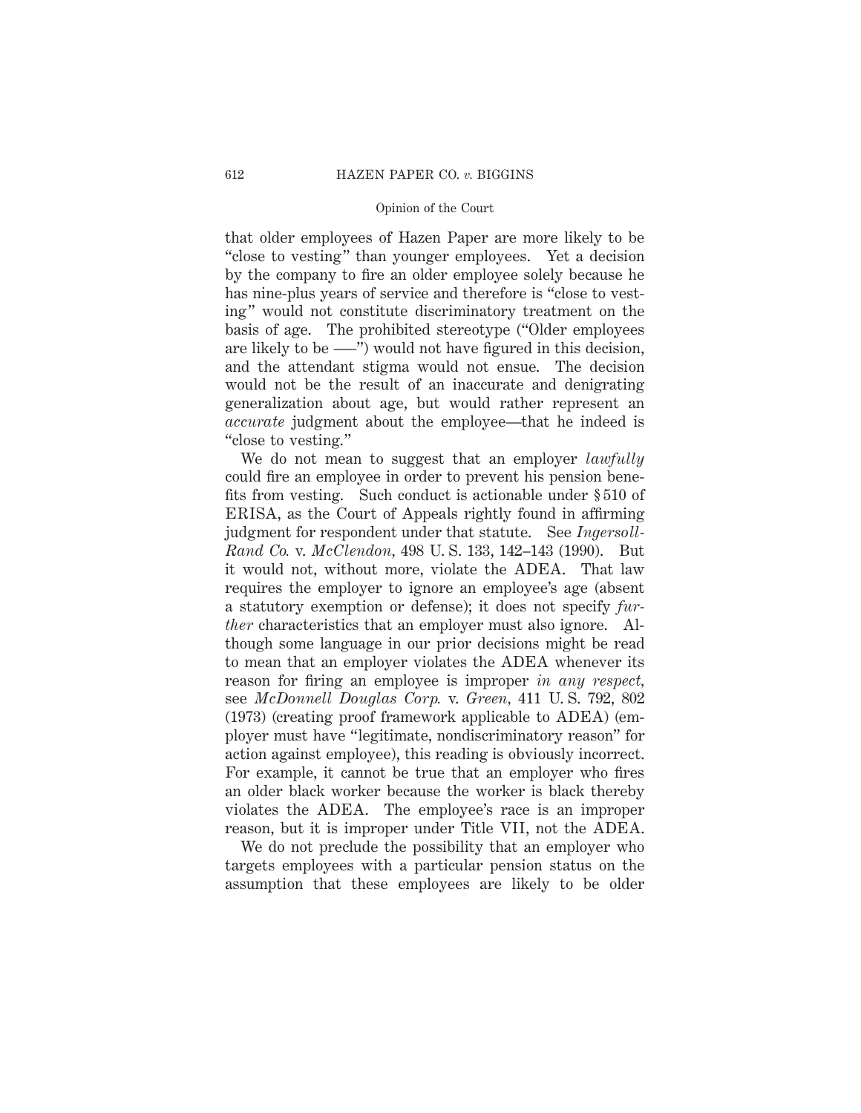that older employees of Hazen Paper are more likely to be "close to vesting" than younger employees. Yet a decision by the company to fire an older employee solely because he has nine-plus years of service and therefore is "close to vesting" would not constitute discriminatory treatment on the basis of age. The prohibited stereotype ("Older employees are likely to be –––") would not have figured in this decision, and the attendant stigma would not ensue. The decision would not be the result of an inaccurate and denigrating generalization about age, but would rather represent an *accurate* judgment about the employee—that he indeed is "close to vesting."

We do not mean to suggest that an employer *lawfully* could fire an employee in order to prevent his pension benefits from vesting. Such conduct is actionable under § 510 of ERISA, as the Court of Appeals rightly found in affirming judgment for respondent under that statute. See *Ingersoll-Rand Co.* v. *McClendon,* 498 U. S. 133, 142–143 (1990). But it would not, without more, violate the ADEA. That law requires the employer to ignore an employee's age (absent a statutory exemption or defense); it does not specify *further* characteristics that an employer must also ignore. Although some language in our prior decisions might be read to mean that an employer violates the ADEA whenever its reason for firing an employee is improper *in any respect,* see *McDonnell Douglas Corp.* v. *Green,* 411 U. S. 792, 802 (1973) (creating proof framework applicable to ADEA) (employer must have "legitimate, nondiscriminatory reason" for action against employee), this reading is obviously incorrect. For example, it cannot be true that an employer who fires an older black worker because the worker is black thereby violates the ADEA. The employee's race is an improper reason, but it is improper under Title VII, not the ADEA.

We do not preclude the possibility that an employer who targets employees with a particular pension status on the assumption that these employees are likely to be older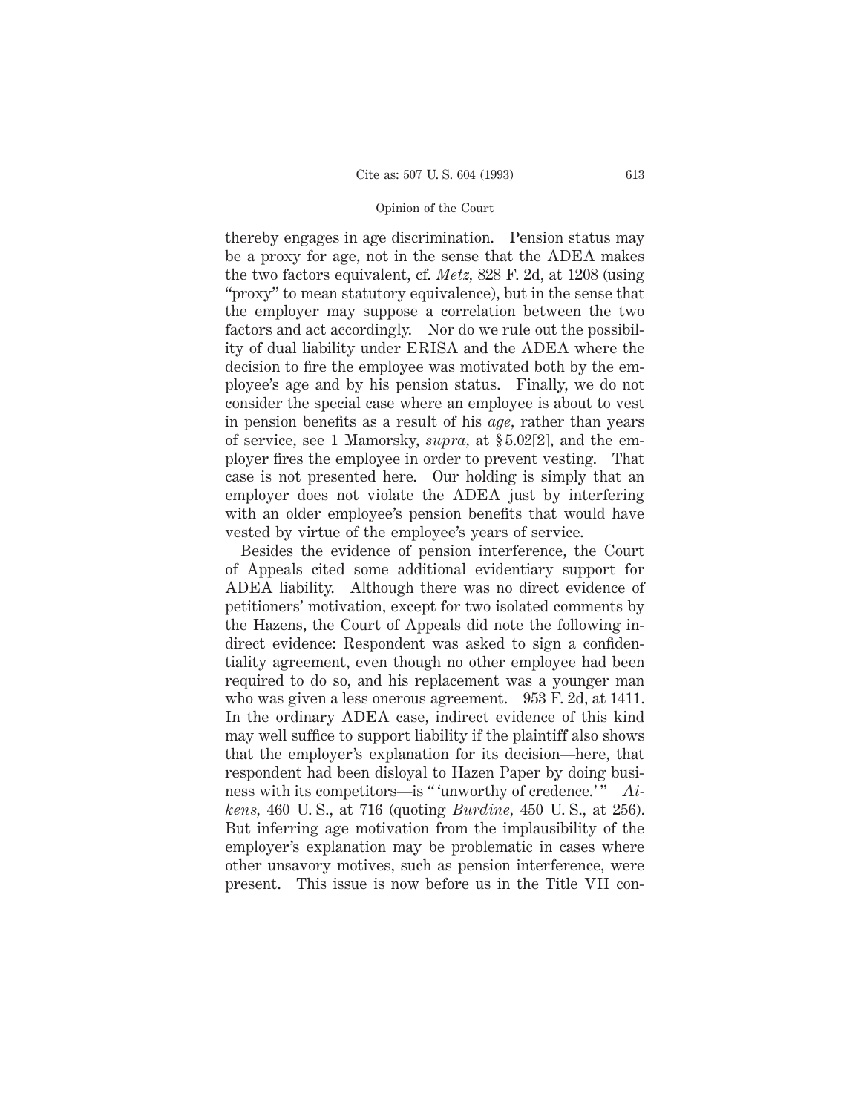thereby engages in age discrimination. Pension status may be a proxy for age, not in the sense that the ADEA makes the two factors equivalent, cf. *Metz,* 828 F. 2d, at 1208 (using "proxy" to mean statutory equivalence), but in the sense that the employer may suppose a correlation between the two factors and act accordingly. Nor do we rule out the possibility of dual liability under ERISA and the ADEA where the decision to fire the employee was motivated both by the employee's age and by his pension status. Finally, we do not consider the special case where an employee is about to vest in pension benefits as a result of his *age,* rather than years of service, see 1 Mamorsky, *supra,* at § 5.02[2], and the employer fires the employee in order to prevent vesting. That case is not presented here. Our holding is simply that an employer does not violate the ADEA just by interfering with an older employee's pension benefits that would have vested by virtue of the employee's years of service.

Besides the evidence of pension interference, the Court of Appeals cited some additional evidentiary support for ADEA liability. Although there was no direct evidence of petitioners' motivation, except for two isolated comments by the Hazens, the Court of Appeals did note the following indirect evidence: Respondent was asked to sign a confidentiality agreement, even though no other employee had been required to do so, and his replacement was a younger man who was given a less onerous agreement. 953 F. 2d, at 1411. In the ordinary ADEA case, indirect evidence of this kind may well suffice to support liability if the plaintiff also shows that the employer's explanation for its decision—here, that respondent had been disloyal to Hazen Paper by doing business with its competitors—is "'unworthy of credence.'" *Aikens,* 460 U. S., at 716 (quoting *Burdine,* 450 U. S., at 256). But inferring age motivation from the implausibility of the employer's explanation may be problematic in cases where other unsavory motives, such as pension interference, were present. This issue is now before us in the Title VII con-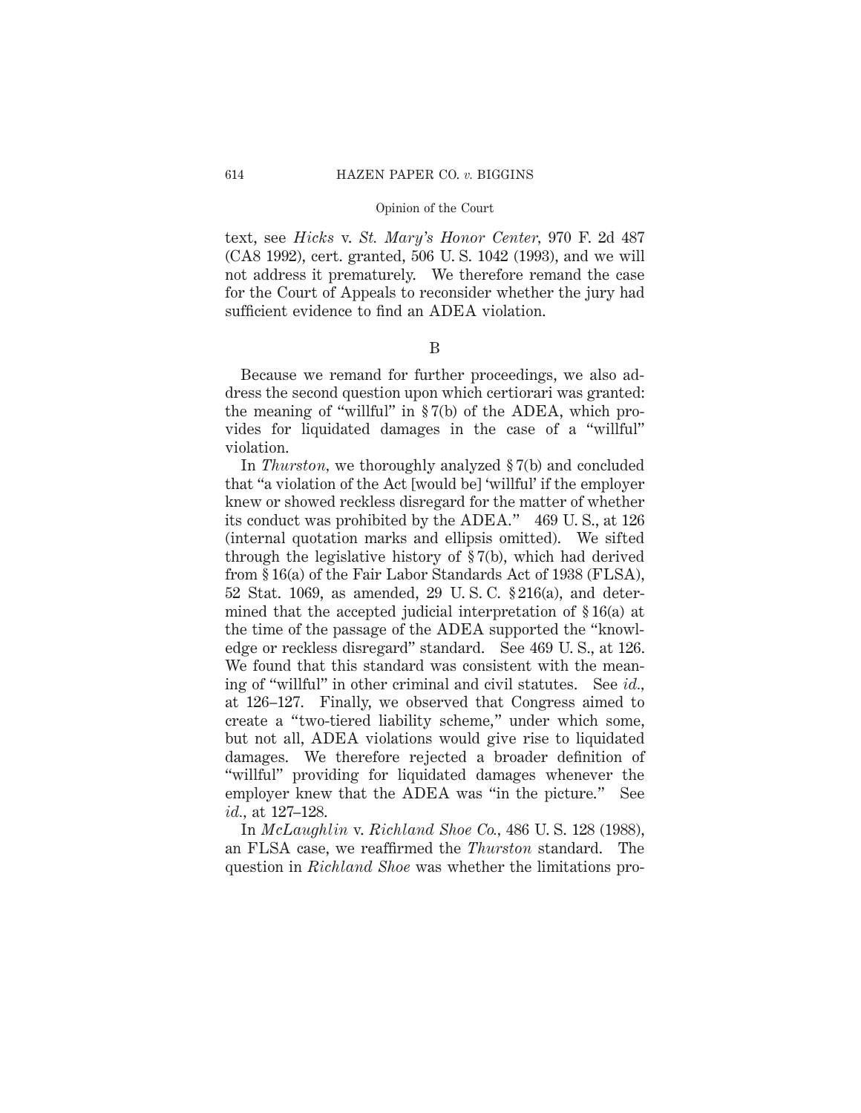text, see *Hicks* v. *St. Mary's Honor Center,* 970 F. 2d 487 (CA8 1992), cert. granted, 506 U. S. 1042 (1993), and we will not address it prematurely. We therefore remand the case for the Court of Appeals to reconsider whether the jury had sufficient evidence to find an ADEA violation.

B

Because we remand for further proceedings, we also address the second question upon which certiorari was granted: the meaning of "willful" in § 7(b) of the ADEA, which provides for liquidated damages in the case of a "willful" violation.

In *Thurston,* we thoroughly analyzed § 7(b) and concluded that "a violation of the Act [would be] 'willful' if the employer knew or showed reckless disregard for the matter of whether its conduct was prohibited by the ADEA." 469 U. S., at 126 (internal quotation marks and ellipsis omitted). We sifted through the legislative history of § 7(b), which had derived from § 16(a) of the Fair Labor Standards Act of 1938 (FLSA), 52 Stat. 1069, as amended, 29 U. S. C. § 216(a), and determined that the accepted judicial interpretation of § 16(a) at the time of the passage of the ADEA supported the "knowledge or reckless disregard" standard. See 469 U. S., at 126. We found that this standard was consistent with the meaning of "willful" in other criminal and civil statutes. See *id.,* at 126–127. Finally, we observed that Congress aimed to create a "two-tiered liability scheme," under which some, but not all, ADEA violations would give rise to liquidated damages. We therefore rejected a broader definition of "willful" providing for liquidated damages whenever the employer knew that the ADEA was "in the picture." See *id.,* at 127–128.

In *McLaughlin* v. *Richland Shoe Co.,* 486 U. S. 128 (1988), an FLSA case, we reaffirmed the *Thurston* standard. The question in *Richland Shoe* was whether the limitations pro-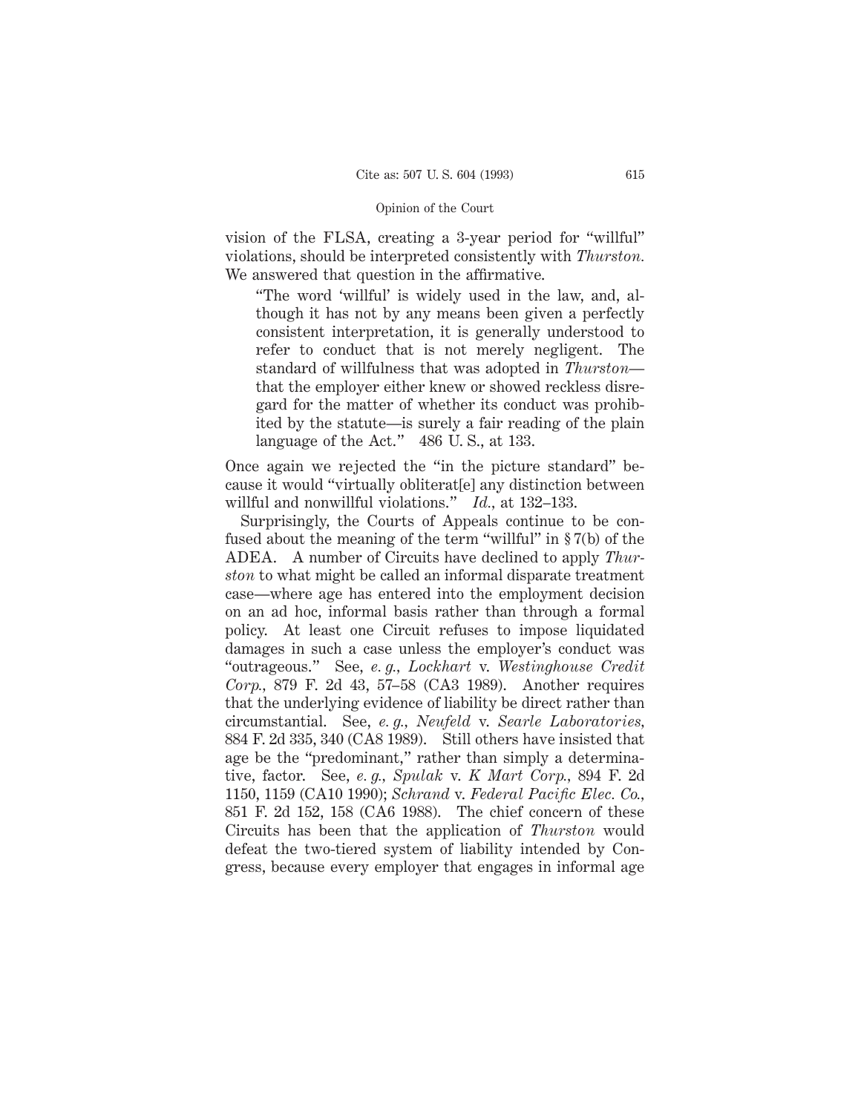vision of the FLSA, creating a 3-year period for "willful" violations, should be interpreted consistently with *Thurston.* We answered that question in the affirmative.

"The word 'willful' is widely used in the law, and, although it has not by any means been given a perfectly consistent interpretation, it is generally understood to refer to conduct that is not merely negligent. The standard of willfulness that was adopted in *Thurston* that the employer either knew or showed reckless disregard for the matter of whether its conduct was prohibited by the statute—is surely a fair reading of the plain language of the Act." 486 U.S., at 133.

Once again we rejected the "in the picture standard" because it would "virtually obliterat[e] any distinction between willful and nonwillful violations." *Id.,* at 132–133.

Surprisingly, the Courts of Appeals continue to be confused about the meaning of the term "willful" in § 7(b) of the ADEA. A number of Circuits have declined to apply *Thurston* to what might be called an informal disparate treatment case—where age has entered into the employment decision on an ad hoc, informal basis rather than through a formal policy. At least one Circuit refuses to impose liquidated damages in such a case unless the employer's conduct was "outrageous." See, *e. g., Lockhart* v. *Westinghouse Credit Corp.,* 879 F. 2d 43, 57–58 (CA3 1989). Another requires that the underlying evidence of liability be direct rather than circumstantial. See, *e. g., Neufeld* v. *Searle Laboratories,* 884 F. 2d 335, 340 (CA8 1989). Still others have insisted that age be the "predominant," rather than simply a determinative, factor. See, *e. g., Spulak* v. *K Mart Corp.,* 894 F. 2d 1150, 1159 (CA10 1990); *Schrand* v. *Federal Pacific Elec. Co.,* 851 F. 2d 152, 158 (CA6 1988). The chief concern of these Circuits has been that the application of *Thurston* would defeat the two-tiered system of liability intended by Congress, because every employer that engages in informal age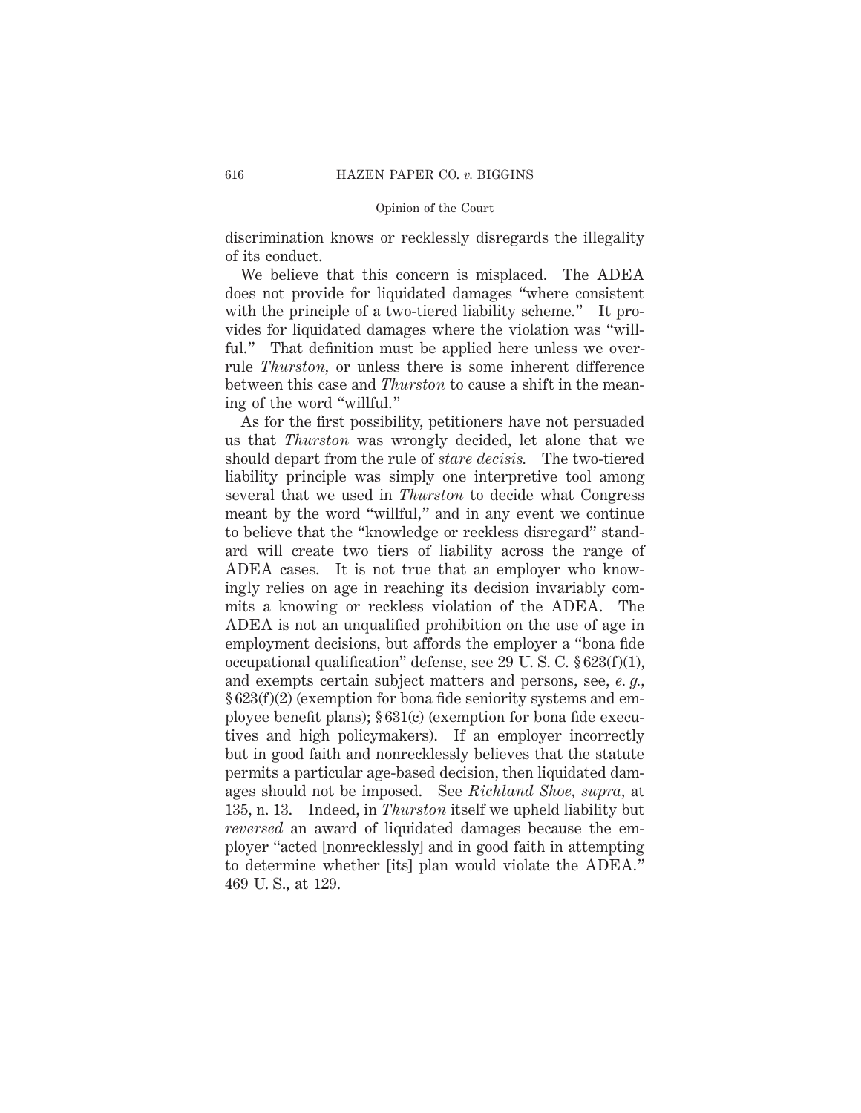discrimination knows or recklessly disregards the illegality of its conduct.

We believe that this concern is misplaced. The ADEA does not provide for liquidated damages "where consistent with the principle of a two-tiered liability scheme." It provides for liquidated damages where the violation was "willful." That definition must be applied here unless we overrule *Thurston,* or unless there is some inherent difference between this case and *Thurston* to cause a shift in the meaning of the word "willful."

As for the first possibility, petitioners have not persuaded us that *Thurston* was wrongly decided, let alone that we should depart from the rule of *stare decisis.* The two-tiered liability principle was simply one interpretive tool among several that we used in *Thurston* to decide what Congress meant by the word "willful," and in any event we continue to believe that the "knowledge or reckless disregard" standard will create two tiers of liability across the range of ADEA cases. It is not true that an employer who knowingly relies on age in reaching its decision invariably commits a knowing or reckless violation of the ADEA. The ADEA is not an unqualified prohibition on the use of age in employment decisions, but affords the employer a "bona fide occupational qualification" defense, see 29 U. S. C. § 623(f)(1), and exempts certain subject matters and persons, see, *e. g.,* § 623(f)(2) (exemption for bona fide seniority systems and employee benefit plans); § 631(c) (exemption for bona fide executives and high policymakers). If an employer incorrectly but in good faith and nonrecklessly believes that the statute permits a particular age-based decision, then liquidated damages should not be imposed. See *Richland Shoe, supra,* at 135, n. 13. Indeed, in *Thurston* itself we upheld liability but *reversed* an award of liquidated damages because the employer "acted [nonrecklessly] and in good faith in attempting to determine whether [its] plan would violate the ADEA." 469 U. S., at 129.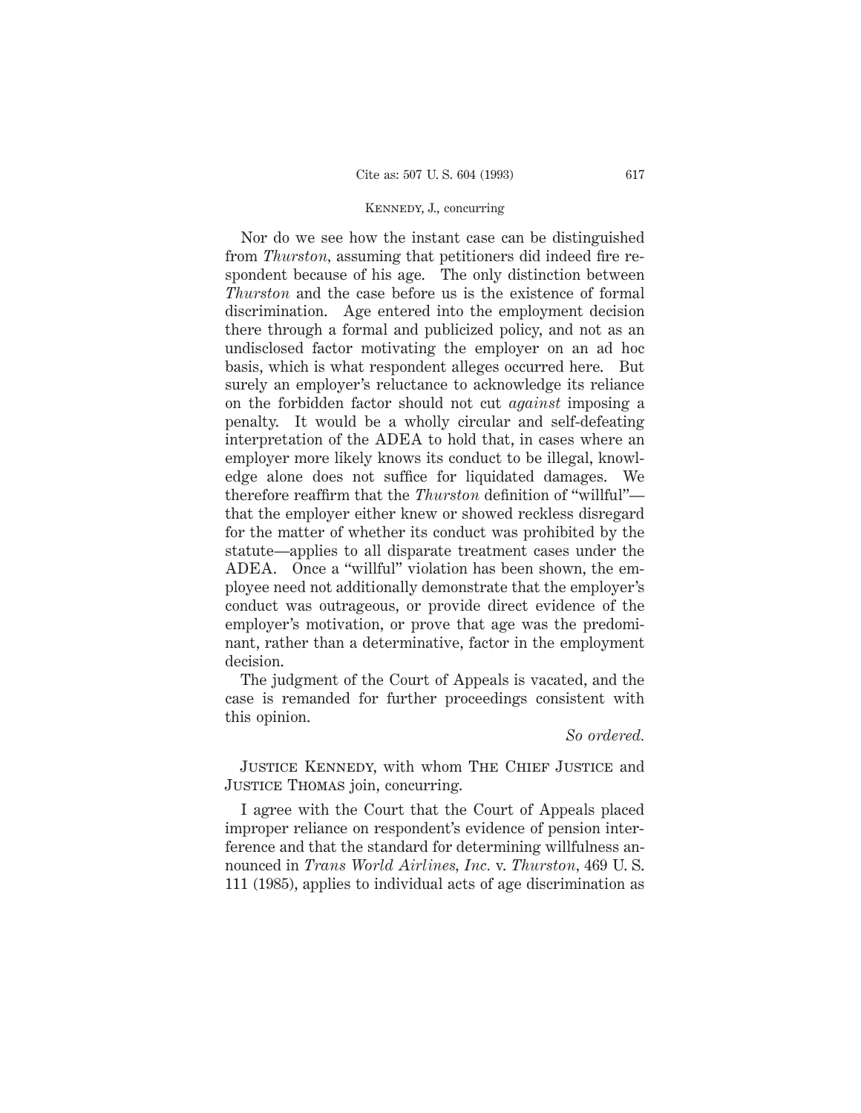### Kennedy, J., concurring

Nor do we see how the instant case can be distinguished from *Thurston,* assuming that petitioners did indeed fire respondent because of his age. The only distinction between *Thurston* and the case before us is the existence of formal discrimination. Age entered into the employment decision there through a formal and publicized policy, and not as an undisclosed factor motivating the employer on an ad hoc basis, which is what respondent alleges occurred here. But surely an employer's reluctance to acknowledge its reliance on the forbidden factor should not cut *against* imposing a penalty. It would be a wholly circular and self-defeating interpretation of the ADEA to hold that, in cases where an employer more likely knows its conduct to be illegal, knowledge alone does not suffice for liquidated damages. We therefore reaffirm that the *Thurston* definition of "willful" that the employer either knew or showed reckless disregard for the matter of whether its conduct was prohibited by the statute—applies to all disparate treatment cases under the ADEA. Once a "willful" violation has been shown, the employee need not additionally demonstrate that the employer's conduct was outrageous, or provide direct evidence of the employer's motivation, or prove that age was the predominant, rather than a determinative, factor in the employment decision.

The judgment of the Court of Appeals is vacated, and the case is remanded for further proceedings consistent with this opinion.

### *So ordered.*

JUSTICE KENNEDY, with whom THE CHIEF JUSTICE and JUSTICE THOMAS join, concurring.

I agree with the Court that the Court of Appeals placed improper reliance on respondent's evidence of pension interference and that the standard for determining willfulness announced in *Trans World Airlines, Inc.* v. *Thurston,* 469 U. S. 111 (1985), applies to individual acts of age discrimination as